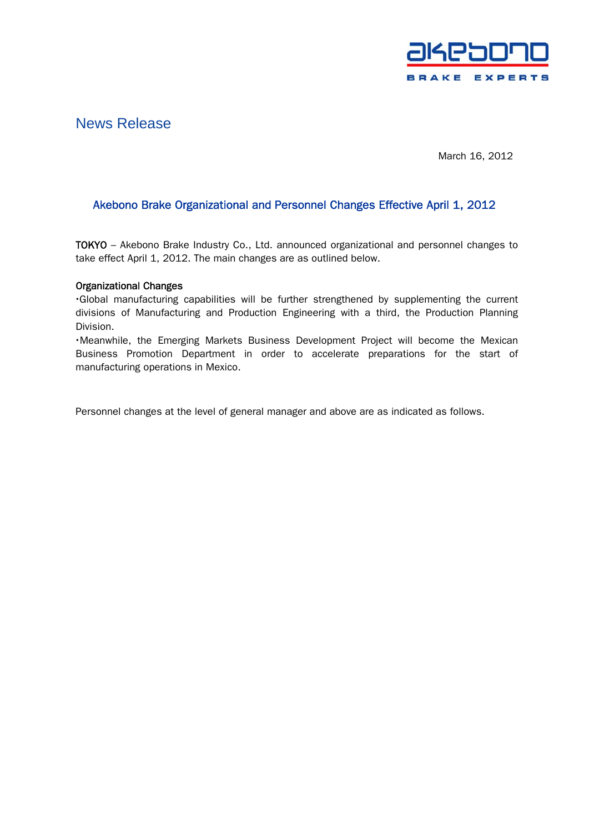

# News Release

March 16, 2012

# Akebono Brake Organizational and Personnel Changes Effective April 1, 2012

TOKYO – Akebono Brake Industry Co., Ltd. announced organizational and personnel changes to take effect April 1, 2012. The main changes are as outlined below.

## Organizational Changes

・Global manufacturing capabilities will be further strengthened by supplementing the current divisions of Manufacturing and Production Engineering with a third, the Production Planning Division.

・Meanwhile, the Emerging Markets Business Development Project will become the Mexican Business Promotion Department in order to accelerate preparations for the start of manufacturing operations in Mexico.

Personnel changes at the level of general manager and above are as indicated as follows.